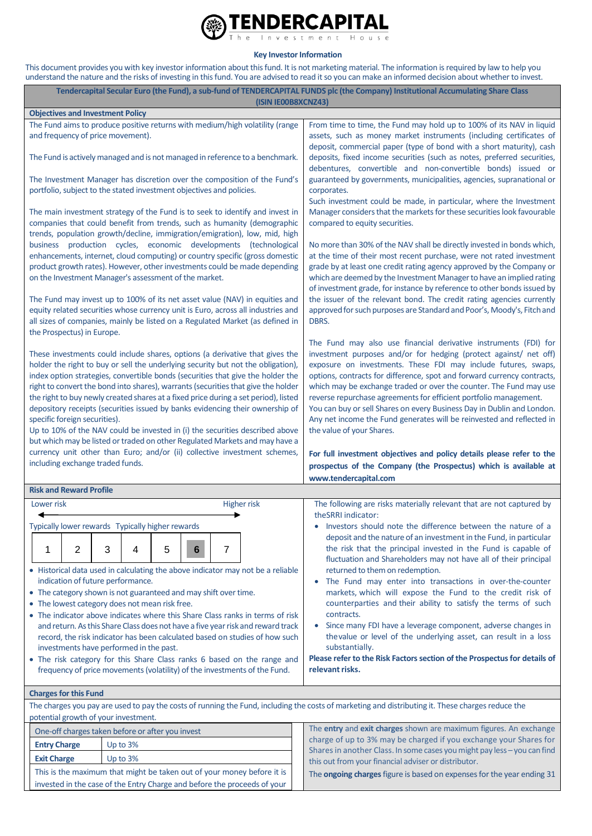

**Key Investor Information**

This document provides you with key investor information about this fund. It is not marketing material. The information is required by law to help you understand the nature and the risks of investing in this fund. You are advised to read it so you can make an informed decision about whether to invest.

| Tendercapital Secular Euro (the Fund), a sub-fund of TENDERCAPITAL FUNDS plc (the Company) Institutional Accumulating Share Class<br>(ISIN IE00B8XCNZ43)                                                                                                                                                                                                                                                                                                                                                                                                                                                                                                                                                                                                                                      |                                 |            |   |                                                                      |                                                                                                                                                                                                                                                                                                            |                                                                                                                                                                                                                                                                                                                                                                                                                                                                                                                                                                                                               |
|-----------------------------------------------------------------------------------------------------------------------------------------------------------------------------------------------------------------------------------------------------------------------------------------------------------------------------------------------------------------------------------------------------------------------------------------------------------------------------------------------------------------------------------------------------------------------------------------------------------------------------------------------------------------------------------------------------------------------------------------------------------------------------------------------|---------------------------------|------------|---|----------------------------------------------------------------------|------------------------------------------------------------------------------------------------------------------------------------------------------------------------------------------------------------------------------------------------------------------------------------------------------------|---------------------------------------------------------------------------------------------------------------------------------------------------------------------------------------------------------------------------------------------------------------------------------------------------------------------------------------------------------------------------------------------------------------------------------------------------------------------------------------------------------------------------------------------------------------------------------------------------------------|
| <b>Objectives and Investment Policy</b>                                                                                                                                                                                                                                                                                                                                                                                                                                                                                                                                                                                                                                                                                                                                                       |                                 |            |   |                                                                      |                                                                                                                                                                                                                                                                                                            |                                                                                                                                                                                                                                                                                                                                                                                                                                                                                                                                                                                                               |
| The Fund aims to produce positive returns with medium/high volatility (range<br>and frequency of price movement).                                                                                                                                                                                                                                                                                                                                                                                                                                                                                                                                                                                                                                                                             |                                 |            |   |                                                                      |                                                                                                                                                                                                                                                                                                            | From time to time, the Fund may hold up to 100% of its NAV in liquid<br>assets, such as money market instruments (including certificates of<br>deposit, commercial paper (type of bond with a short maturity), cash                                                                                                                                                                                                                                                                                                                                                                                           |
| The Fund is actively managed and is not managed in reference to a benchmark.                                                                                                                                                                                                                                                                                                                                                                                                                                                                                                                                                                                                                                                                                                                  |                                 |            |   |                                                                      |                                                                                                                                                                                                                                                                                                            | deposits, fixed income securities (such as notes, preferred securities,<br>debentures, convertible and non-convertible bonds) issued or                                                                                                                                                                                                                                                                                                                                                                                                                                                                       |
|                                                                                                                                                                                                                                                                                                                                                                                                                                                                                                                                                                                                                                                                                                                                                                                               |                                 |            |   | portfolio, subject to the stated investment objectives and policies. | The Investment Manager has discretion over the composition of the Fund's                                                                                                                                                                                                                                   | guaranteed by governments, municipalities, agencies, supranational or<br>corporates.                                                                                                                                                                                                                                                                                                                                                                                                                                                                                                                          |
|                                                                                                                                                                                                                                                                                                                                                                                                                                                                                                                                                                                                                                                                                                                                                                                               |                                 |            |   |                                                                      | The main investment strategy of the Fund is to seek to identify and invest in<br>companies that could benefit from trends, such as humanity (demographic<br>trends, population growth/decline, immigration/emigration), low, mid, high<br>business production cycles, economic developments (technological | Such investment could be made, in particular, where the Investment<br>Manager considers that the markets for these securities look favourable<br>compared to equity securities.<br>No more than 30% of the NAV shall be directly invested in bonds which,                                                                                                                                                                                                                                                                                                                                                     |
| enhancements, internet, cloud computing) or country specific (gross domestic<br>product growth rates). However, other investments could be made depending<br>on the Investment Manager's assessment of the market.                                                                                                                                                                                                                                                                                                                                                                                                                                                                                                                                                                            |                                 |            |   |                                                                      |                                                                                                                                                                                                                                                                                                            | at the time of their most recent purchase, were not rated investment<br>grade by at least one credit rating agency approved by the Company or<br>which are deemed by the Investment Manager to have an implied rating<br>of investment grade, for instance by reference to other bonds issued by<br>the issuer of the relevant bond. The credit rating agencies currently<br>approved for such purposes are Standard and Poor's, Moody's, Fitch and<br>DBRS.                                                                                                                                                  |
| The Fund may invest up to 100% of its net asset value (NAV) in equities and<br>equity related securities whose currency unit is Euro, across all industries and<br>all sizes of companies, mainly be listed on a Regulated Market (as defined in<br>the Prospectus) in Europe.                                                                                                                                                                                                                                                                                                                                                                                                                                                                                                                |                                 |            |   |                                                                      |                                                                                                                                                                                                                                                                                                            |                                                                                                                                                                                                                                                                                                                                                                                                                                                                                                                                                                                                               |
| These investments could include shares, options (a derivative that gives the<br>holder the right to buy or sell the underlying security but not the obligation),<br>index option strategies, convertible bonds (securities that give the holder the<br>right to convert the bond into shares), warrants (securities that give the holder<br>the right to buy newly created shares at a fixed price during a set period), listed<br>depository receipts (securities issued by banks evidencing their ownership of<br>specific foreign securities).<br>Up to 10% of the NAV could be invested in (i) the securities described above<br>but which may be listed or traded on other Regulated Markets and may have a<br>currency unit other than Euro; and/or (ii) collective investment schemes, |                                 |            |   |                                                                      |                                                                                                                                                                                                                                                                                                            | The Fund may also use financial derivative instruments (FDI) for<br>investment purposes and/or for hedging (protect against/ net off)<br>exposure on investments. These FDI may include futures, swaps,<br>options, contracts for difference, spot and forward currency contracts,<br>which may be exchange traded or over the counter. The Fund may use<br>reverse repurchase agreements for efficient portfolio management.<br>You can buy or sell Shares on every Business Day in Dublin and London.<br>Any net income the Fund generates will be reinvested and reflected in<br>the value of your Shares. |
| including exchange traded funds.                                                                                                                                                                                                                                                                                                                                                                                                                                                                                                                                                                                                                                                                                                                                                              |                                 |            |   |                                                                      |                                                                                                                                                                                                                                                                                                            | For full investment objectives and policy details please refer to the<br>prospectus of the Company (the Prospectus) which is available at<br>www.tendercapital.com                                                                                                                                                                                                                                                                                                                                                                                                                                            |
| <b>Risk and Reward Profile</b>                                                                                                                                                                                                                                                                                                                                                                                                                                                                                                                                                                                                                                                                                                                                                                |                                 |            |   |                                                                      |                                                                                                                                                                                                                                                                                                            |                                                                                                                                                                                                                                                                                                                                                                                                                                                                                                                                                                                                               |
| Lower risk<br>The following are risks materially relevant that are not captured by<br><b>Higher risk</b>                                                                                                                                                                                                                                                                                                                                                                                                                                                                                                                                                                                                                                                                                      |                                 |            |   |                                                                      |                                                                                                                                                                                                                                                                                                            |                                                                                                                                                                                                                                                                                                                                                                                                                                                                                                                                                                                                               |
|                                                                                                                                                                                                                                                                                                                                                                                                                                                                                                                                                                                                                                                                                                                                                                                               |                                 |            |   |                                                                      |                                                                                                                                                                                                                                                                                                            | theSRRI indicator:                                                                                                                                                                                                                                                                                                                                                                                                                                                                                                                                                                                            |
| Typically lower rewards Typically higher rewards                                                                                                                                                                                                                                                                                                                                                                                                                                                                                                                                                                                                                                                                                                                                              |                                 |            |   |                                                                      |                                                                                                                                                                                                                                                                                                            | Investors should note the difference between the nature of a<br>deposit and the nature of an investment in the Fund, in particular                                                                                                                                                                                                                                                                                                                                                                                                                                                                            |
| 1                                                                                                                                                                                                                                                                                                                                                                                                                                                                                                                                                                                                                                                                                                                                                                                             | 2                               | 3          | 4 | 5<br>6                                                               | 7                                                                                                                                                                                                                                                                                                          | the risk that the principal invested in the Fund is capable of<br>fluctuation and Shareholders may not have all of their principal                                                                                                                                                                                                                                                                                                                                                                                                                                                                            |
| • Historical data used in calculating the above indicator may not be a reliable<br>indication of future performance.                                                                                                                                                                                                                                                                                                                                                                                                                                                                                                                                                                                                                                                                          |                                 |            |   |                                                                      |                                                                                                                                                                                                                                                                                                            | returned to them on redemption.<br>• The Fund may enter into transactions in over-the-counter                                                                                                                                                                                                                                                                                                                                                                                                                                                                                                                 |
| • The category shown is not guaranteed and may shift over time.                                                                                                                                                                                                                                                                                                                                                                                                                                                                                                                                                                                                                                                                                                                               |                                 |            |   |                                                                      |                                                                                                                                                                                                                                                                                                            | markets, which will expose the Fund to the credit risk of                                                                                                                                                                                                                                                                                                                                                                                                                                                                                                                                                     |
| • The lowest category does not mean risk free.                                                                                                                                                                                                                                                                                                                                                                                                                                                                                                                                                                                                                                                                                                                                                |                                 |            |   |                                                                      |                                                                                                                                                                                                                                                                                                            | counterparties and their ability to satisfy the terms of such                                                                                                                                                                                                                                                                                                                                                                                                                                                                                                                                                 |
| • The indicator above indicates where this Share Class ranks in terms of risk                                                                                                                                                                                                                                                                                                                                                                                                                                                                                                                                                                                                                                                                                                                 |                                 |            |   |                                                                      |                                                                                                                                                                                                                                                                                                            | contracts.                                                                                                                                                                                                                                                                                                                                                                                                                                                                                                                                                                                                    |
| and return. As this Share Class does not have a five year risk and reward track                                                                                                                                                                                                                                                                                                                                                                                                                                                                                                                                                                                                                                                                                                               |                                 |            |   |                                                                      |                                                                                                                                                                                                                                                                                                            | Since many FDI have a leverage component, adverse changes in<br>٠<br>thevalue or level of the underlying asset, can result in a loss                                                                                                                                                                                                                                                                                                                                                                                                                                                                          |
| record, the risk indicator has been calculated based on studies of how such<br>investments have performed in the past.                                                                                                                                                                                                                                                                                                                                                                                                                                                                                                                                                                                                                                                                        |                                 |            |   |                                                                      |                                                                                                                                                                                                                                                                                                            | substantially.                                                                                                                                                                                                                                                                                                                                                                                                                                                                                                                                                                                                |
| • The risk category for this Share Class ranks 6 based on the range and<br>frequency of price movements (volatility) of the investments of the Fund.                                                                                                                                                                                                                                                                                                                                                                                                                                                                                                                                                                                                                                          |                                 |            |   |                                                                      |                                                                                                                                                                                                                                                                                                            | Please refer to the Risk Factors section of the Prospectus for details of<br>relevant risks.                                                                                                                                                                                                                                                                                                                                                                                                                                                                                                                  |
| <b>Charges for this Fund</b>                                                                                                                                                                                                                                                                                                                                                                                                                                                                                                                                                                                                                                                                                                                                                                  |                                 |            |   |                                                                      |                                                                                                                                                                                                                                                                                                            |                                                                                                                                                                                                                                                                                                                                                                                                                                                                                                                                                                                                               |
| The charges you pay are used to pay the costs of running the Fund, including the costs of marketing and distributing it. These charges reduce the<br>potential growth of your investment.                                                                                                                                                                                                                                                                                                                                                                                                                                                                                                                                                                                                     |                                 |            |   |                                                                      |                                                                                                                                                                                                                                                                                                            |                                                                                                                                                                                                                                                                                                                                                                                                                                                                                                                                                                                                               |
| The entry and exit charges shown are maximum figures. An exchange<br>One-off charges taken before or after you invest                                                                                                                                                                                                                                                                                                                                                                                                                                                                                                                                                                                                                                                                         |                                 |            |   |                                                                      |                                                                                                                                                                                                                                                                                                            |                                                                                                                                                                                                                                                                                                                                                                                                                                                                                                                                                                                                               |
|                                                                                                                                                                                                                                                                                                                                                                                                                                                                                                                                                                                                                                                                                                                                                                                               | <b>Entry Charge</b><br>Up to 3% |            |   |                                                                      |                                                                                                                                                                                                                                                                                                            | charge of up to 3% may be charged if you exchange your Shares for                                                                                                                                                                                                                                                                                                                                                                                                                                                                                                                                             |
| <b>Exit Charge</b>                                                                                                                                                                                                                                                                                                                                                                                                                                                                                                                                                                                                                                                                                                                                                                            |                                 | Up to $3%$ |   |                                                                      |                                                                                                                                                                                                                                                                                                            | Shares in another Class. In some cases you might pay less - you can find<br>this out from your financial adviser or distributor.                                                                                                                                                                                                                                                                                                                                                                                                                                                                              |

This is the maximum that might be taken out of your money before it is invested in the case of the Entry Charge and before the proceeds of your The **ongoing charges**figure is based on expenses for the year ending 31